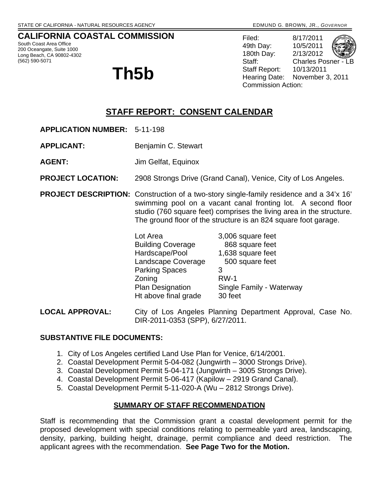## **CALIFORNIA COASTAL COMMISSION**

South Coast Area Office 200 Oceangate, Suite 1000 Long Beach, CA 90802-4302 (562) 590-5071

# **Th5b**

Filed: 8/17/2011 49th Day: 10/5/2011 180th Day: 2/13/2012 Staff: Charles Posner - L Staff Report: 10/13/2011 Hearing Date: November 3, 2011 Commission Action:

# **STAFF REPORT: CONSENT CALENDAR**

- **APPLICATION NUMBER:** 5-11-198
- **APPLICANT:** Benjamin C. Stewart
- **AGENT:** Jim Gelfat, Equinox
- **PROJECT LOCATION:** 2908 Strongs Drive (Grand Canal), Venice, City of Los Angeles.
- **PROJECT DESCRIPTION:** Construction of a two-story single-family residence and a 34'x 16' swimming pool on a vacant canal fronting lot. A second floor studio (760 square feet) comprises the living area in the structure. The ground floor of the structure is an 824 square foot garage.

| Lot Area                 | 3,006 square feet        |
|--------------------------|--------------------------|
| <b>Building Coverage</b> | 868 square feet          |
| Hardscape/Pool           | 1,638 square feet        |
| Landscape Coverage       | 500 square feet          |
| <b>Parking Spaces</b>    | З                        |
| Zoning                   | $RW-1$                   |
| Plan Designation         | Single Family - Waterway |
| Ht above final grade     | 30 feet                  |

**LOCAL APPROVAL:** City of Los Angeles Planning Department Approval, Case No. DIR-2011-0353 (SPP), 6/27/2011.

#### **SUBSTANTIVE FILE DOCUMENTS:**

- 1. City of Los Angeles certified Land Use Plan for Venice, 6/14/2001.
- 2. Coastal Development Permit 5-04-082 (Jungwirth 3000 Strongs Drive).
- 3. Coastal Development Permit 5-04-171 (Jungwirth 3005 Strongs Drive).
- 4. Coastal Development Permit 5-06-417 (Kapilow 2919 Grand Canal).
- 5. Coastal Development Permit 5-11-020-A (Wu 2812 Strongs Drive).

#### **SUMMARY OF STAFF RECOMMENDATION**

Staff is recommending that the Commission grant a coastal development permit for the proposed development with special conditions relating to permeable yard area, landscaping, density, parking, building height, drainage, permit compliance and deed restriction. The applicant agrees with the recommendation. **See Page Two for the Motion.**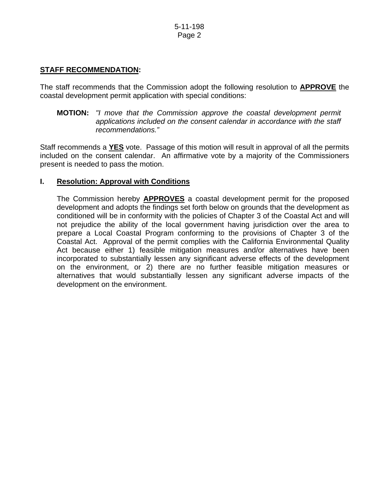## **STAFF RECOMMENDATION:**

The staff recommends that the Commission adopt the following resolution to **APPROVE** the coastal development permit application with special conditions:

 **MOTION:** *"I move that the Commission approve the coastal development permit applications included on the consent calendar in accordance with the staff recommendations."* 

Staff recommends a **YES** vote. Passage of this motion will result in approval of all the permits included on the consent calendar. An affirmative vote by a majority of the Commissioners present is needed to pass the motion.

#### **I. Resolution: Approval with Conditions**

The Commission hereby **APPROVES** a coastal development permit for the proposed development and adopts the findings set forth below on grounds that the development as conditioned will be in conformity with the policies of Chapter 3 of the Coastal Act and will not prejudice the ability of the local government having jurisdiction over the area to prepare a Local Coastal Program conforming to the provisions of Chapter 3 of the Coastal Act. Approval of the permit complies with the California Environmental Quality Act because either 1) feasible mitigation measures and/or alternatives have been incorporated to substantially lessen any significant adverse effects of the development on the environment, or 2) there are no further feasible mitigation measures or alternatives that would substantially lessen any significant adverse impacts of the development on the environment.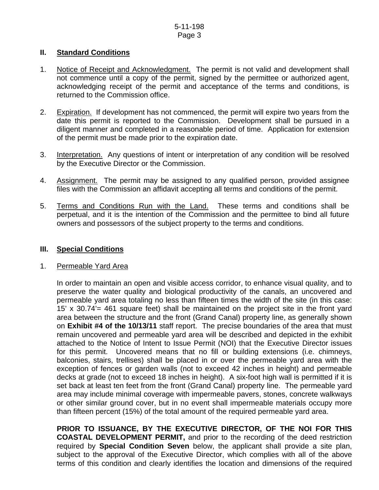#### **II. Standard Conditions**

- 1. Notice of Receipt and Acknowledgment. The permit is not valid and development shall not commence until a copy of the permit, signed by the permittee or authorized agent, acknowledging receipt of the permit and acceptance of the terms and conditions, is returned to the Commission office.
- 2. Expiration. If development has not commenced, the permit will expire two years from the date this permit is reported to the Commission. Development shall be pursued in a diligent manner and completed in a reasonable period of time. Application for extension of the permit must be made prior to the expiration date.
- 3. Interpretation. Any questions of intent or interpretation of any condition will be resolved by the Executive Director or the Commission.
- 4. Assignment. The permit may be assigned to any qualified person, provided assignee files with the Commission an affidavit accepting all terms and conditions of the permit.
- 5. Terms and Conditions Run with the Land. These terms and conditions shall be perpetual, and it is the intention of the Commission and the permittee to bind all future owners and possessors of the subject property to the terms and conditions.

#### **III. Special Conditions**

#### 1. Permeable Yard Area

 In order to maintain an open and visible access corridor, to enhance visual quality, and to preserve the water quality and biological productivity of the canals, an uncovered and permeable yard area totaling no less than fifteen times the width of the site (in this case: 15' x 30.74'= 461 square feet) shall be maintained on the project site in the front yard area between the structure and the front (Grand Canal) property line, as generally shown on **Exhibit #4 of the 10/13/11** staff report. The precise boundaries of the area that must remain uncovered and permeable yard area will be described and depicted in the exhibit attached to the Notice of Intent to Issue Permit (NOI) that the Executive Director issues for this permit. Uncovered means that no fill or building extensions (i.e. chimneys, balconies, stairs, trellises) shall be placed in or over the permeable yard area with the exception of fences or garden walls (not to exceed 42 inches in height) and permeable decks at grade (not to exceed 18 inches in height). A six-foot high wall is permitted if it is set back at least ten feet from the front (Grand Canal) property line. The permeable yard area may include minimal coverage with impermeable pavers, stones, concrete walkways or other similar ground cover, but in no event shall impermeable materials occupy more than fifteen percent (15%) of the total amount of the required permeable yard area.

 **PRIOR TO ISSUANCE, BY THE EXECUTIVE DIRECTOR, OF THE NOI FOR THIS COASTAL DEVELOPMENT PERMIT,** and prior to the recording of the deed restriction required by **Special Condition Seven** below, the applicant shall provide a site plan, subject to the approval of the Executive Director, which complies with all of the above terms of this condition and clearly identifies the location and dimensions of the required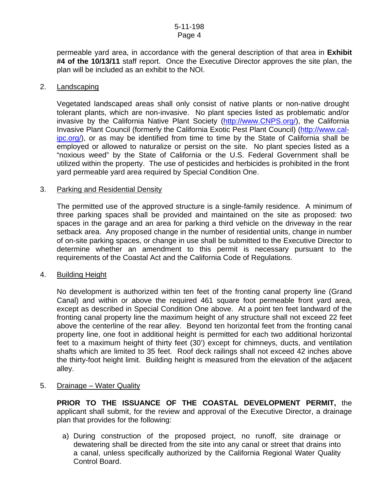#### 5-11-198 Page 4

permeable yard area, in accordance with the general description of that area in **Exhibit #4 of the 10/13/11** staff report. Once the Executive Director approves the site plan, the plan will be included as an exhibit to the NOI.

#### 2. Landscaping

Vegetated landscaped areas shall only consist of native plants or non-native drought tolerant plants, which are non-invasive. No plant species listed as problematic and/or invasive by the California Native Plant Society [\(http://www.CNPS.org/\)](http://www.cnps.org/), the California Invasive Plant Council (formerly the California Exotic Pest Plant Council) ([http://www.cal](http://www.cal-ipc.org/)[ipc.org/](http://www.cal-ipc.org/)), or as may be identified from time to time by the State of California shall be employed or allowed to naturalize or persist on the site. No plant species listed as a "noxious weed" by the State of California or the U.S. Federal Government shall be utilized within the property. The use of pesticides and herbicides is prohibited in the front yard permeable yard area required by Special Condition One.

#### 3. Parking and Residential Density

 The permitted use of the approved structure is a single-family residence. A minimum of three parking spaces shall be provided and maintained on the site as proposed: two spaces in the garage and an area for parking a third vehicle on the driveway in the rear setback area. Any proposed change in the number of residential units, change in number of on-site parking spaces, or change in use shall be submitted to the Executive Director to determine whether an amendment to this permit is necessary pursuant to the requirements of the Coastal Act and the California Code of Regulations.

#### 4. Building Height

No development is authorized within ten feet of the fronting canal property line (Grand Canal) and within or above the required 461 square foot permeable front yard area, except as described in Special Condition One above. At a point ten feet landward of the fronting canal property line the maximum height of any structure shall not exceed 22 feet above the centerline of the rear alley. Beyond ten horizontal feet from the fronting canal property line, one foot in additional height is permitted for each two additional horizontal feet to a maximum height of thirty feet (30') except for chimneys, ducts, and ventilation shafts which are limited to 35 feet. Roof deck railings shall not exceed 42 inches above the thirty-foot height limit. Building height is measured from the elevation of the adjacent alley.

5. Drainage – Water Quality

**PRIOR TO THE ISSUANCE OF THE COASTAL DEVELOPMENT PERMIT,** the applicant shall submit, for the review and approval of the Executive Director, a drainage plan that provides for the following:

a) During construction of the proposed project, no runoff, site drainage or dewatering shall be directed from the site into any canal or street that drains into a canal, unless specifically authorized by the California Regional Water Quality Control Board.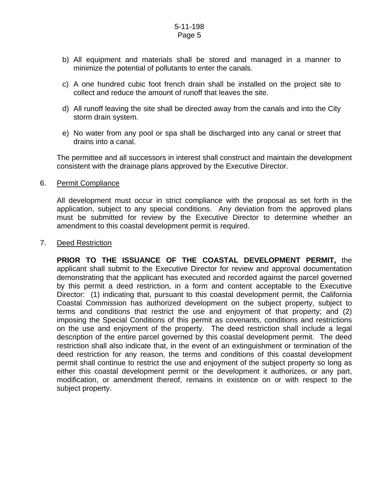- b) All equipment and materials shall be stored and managed in a manner to minimize the potential of pollutants to enter the canals.
- c) A one hundred cubic foot french drain shall be installed on the project site to collect and reduce the amount of runoff that leaves the site.
- d) All runoff leaving the site shall be directed away from the canals and into the City storm drain system.
- e) No water from any pool or spa shall be discharged into any canal or street that drains into a canal.

 The permittee and all successors in interest shall construct and maintain the development consistent with the drainage plans approved by the Executive Director.

#### 6. Permit Compliance

 All development must occur in strict compliance with the proposal as set forth in the application, subject to any special conditions. Any deviation from the approved plans must be submitted for review by the Executive Director to determine whether an amendment to this coastal development permit is required.

#### 7. Deed Restriction

 **PRIOR TO THE ISSUANCE OF THE COASTAL DEVELOPMENT PERMIT,** the applicant shall submit to the Executive Director for review and approval documentation demonstrating that the applicant has executed and recorded against the parcel governed by this permit a deed restriction, in a form and content acceptable to the Executive Director: (1) indicating that, pursuant to this coastal development permit, the California Coastal Commission has authorized development on the subject property, subject to terms and conditions that restrict the use and enjoyment of that property; and (2) imposing the Special Conditions of this permit as covenants, conditions and restrictions on the use and enjoyment of the property. The deed restriction shall include a legal description of the entire parcel governed by this coastal development permit. The deed restriction shall also indicate that, in the event of an extinguishment or termination of the deed restriction for any reason, the terms and conditions of this coastal development permit shall continue to restrict the use and enjoyment of the subject property so long as either this coastal development permit or the development it authorizes, or any part, modification, or amendment thereof, remains in existence on or with respect to the subject property.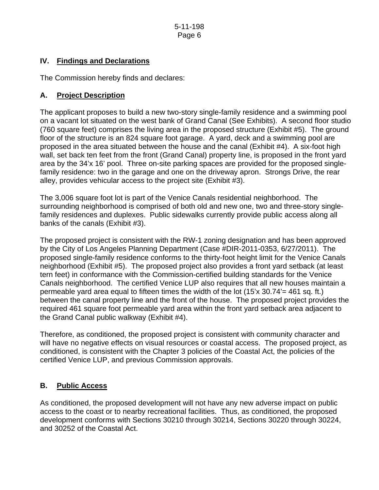# **IV. Findings and Declarations**

The Commission hereby finds and declares:

## **A. Project Description**

The applicant proposes to build a new two-story single-family residence and a swimming pool on a vacant lot situated on the west bank of Grand Canal (See Exhibits). A second floor studio (760 square feet) comprises the living area in the proposed structure (Exhibit #5). The ground floor of the structure is an 824 square foot garage. A yard, deck and a swimming pool are proposed in the area situated between the house and the canal (Exhibit #4). A six-foot high wall, set back ten feet from the front (Grand Canal) property line, is proposed in the front yard area by the 34'x 16' pool. Three on-site parking spaces are provided for the proposed singlefamily residence: two in the garage and one on the driveway apron. Strongs Drive, the rear alley, provides vehicular access to the project site (Exhibit #3).

The 3,006 square foot lot is part of the Venice Canals residential neighborhood. The surrounding neighborhood is comprised of both old and new one, two and three-story singlefamily residences and duplexes. Public sidewalks currently provide public access along all banks of the canals (Exhibit #3).

The proposed project is consistent with the RW-1 zoning designation and has been approved by the City of Los Angeles Planning Department (Case #DIR-2011-0353, 6/27/2011). The proposed single-family residence conforms to the thirty-foot height limit for the Venice Canals neighborhood (Exhibit #5). The proposed project also provides a front yard setback (at least tern feet) in conformance with the Commission-certified building standards for the Venice Canals neighborhood. The certified Venice LUP also requires that all new houses maintain a permeable yard area equal to fifteen times the width of the lot (15'x 30.74'= 461 sq. ft.) between the canal property line and the front of the house. The proposed project provides the required 461 square foot permeable yard area within the front yard setback area adjacent to the Grand Canal public walkway (Exhibit #4).

Therefore, as conditioned, the proposed project is consistent with community character and will have no negative effects on visual resources or coastal access. The proposed project, as conditioned, is consistent with the Chapter 3 policies of the Coastal Act, the policies of the certified Venice LUP, and previous Commission approvals.

# **B. Public Access**

As conditioned, the proposed development will not have any new adverse impact on public access to the coast or to nearby recreational facilities. Thus, as conditioned, the proposed development conforms with Sections 30210 through 30214, Sections 30220 through 30224, and 30252 of the Coastal Act.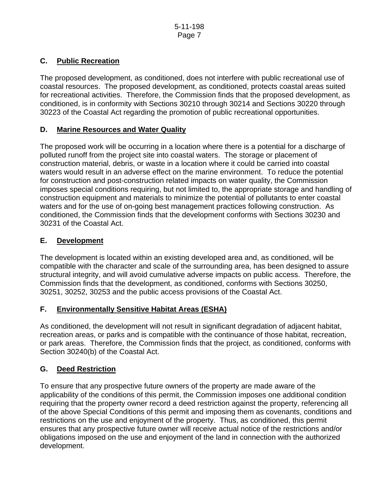# **C. Public Recreation**

The proposed development, as conditioned, does not interfere with public recreational use of coastal resources. The proposed development, as conditioned, protects coastal areas suited for recreational activities. Therefore, the Commission finds that the proposed development, as conditioned, is in conformity with Sections 30210 through 30214 and Sections 30220 through 30223 of the Coastal Act regarding the promotion of public recreational opportunities.

# **D. Marine Resources and Water Quality**

The proposed work will be occurring in a location where there is a potential for a discharge of polluted runoff from the project site into coastal waters. The storage or placement of construction material, debris, or waste in a location where it could be carried into coastal waters would result in an adverse effect on the marine environment. To reduce the potential for construction and post-construction related impacts on water quality, the Commission imposes special conditions requiring, but not limited to, the appropriate storage and handling of construction equipment and materials to minimize the potential of pollutants to enter coastal waters and for the use of on-going best management practices following construction. As conditioned, the Commission finds that the development conforms with Sections 30230 and 30231 of the Coastal Act.

# **E. Development**

The development is located within an existing developed area and, as conditioned, will be compatible with the character and scale of the surrounding area, has been designed to assure structural integrity, and will avoid cumulative adverse impacts on public access. Therefore, the Commission finds that the development, as conditioned, conforms with Sections 30250, 30251, 30252, 30253 and the public access provisions of the Coastal Act.

# **F. Environmentally Sensitive Habitat Areas (ESHA)**

As conditioned, the development will not result in significant degradation of adjacent habitat, recreation areas, or parks and is compatible with the continuance of those habitat, recreation, or park areas. Therefore, the Commission finds that the project, as conditioned, conforms with Section 30240(b) of the Coastal Act.

# **G. Deed Restriction**

To ensure that any prospective future owners of the property are made aware of the applicability of the conditions of this permit, the Commission imposes one additional condition requiring that the property owner record a deed restriction against the property, referencing all of the above Special Conditions of this permit and imposing them as covenants, conditions and restrictions on the use and enjoyment of the property. Thus, as conditioned, this permit ensures that any prospective future owner will receive actual notice of the restrictions and/or obligations imposed on the use and enjoyment of the land in connection with the authorized development.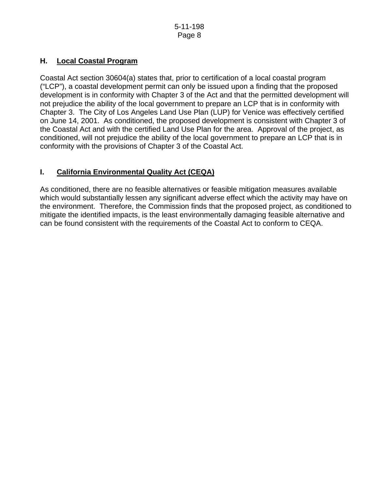# **H. Local Coastal Program**

Coastal Act section 30604(a) states that, prior to certification of a local coastal program ("LCP"), a coastal development permit can only be issued upon a finding that the proposed development is in conformity with Chapter 3 of the Act and that the permitted development will not prejudice the ability of the local government to prepare an LCP that is in conformity with Chapter 3. The City of Los Angeles Land Use Plan (LUP) for Venice was effectively certified on June 14, 2001. As conditioned, the proposed development is consistent with Chapter 3 of the Coastal Act and with the certified Land Use Plan for the area. Approval of the project, as conditioned, will not prejudice the ability of the local government to prepare an LCP that is in conformity with the provisions of Chapter 3 of the Coastal Act.

# **I. California Environmental Quality Act (CEQA)**

As conditioned, there are no feasible alternatives or feasible mitigation measures available which would substantially lessen any significant adverse effect which the activity may have on the environment. Therefore, the Commission finds that the proposed project, as conditioned to mitigate the identified impacts, is the least environmentally damaging feasible alternative and can be found consistent with the requirements of the Coastal Act to conform to CEQA.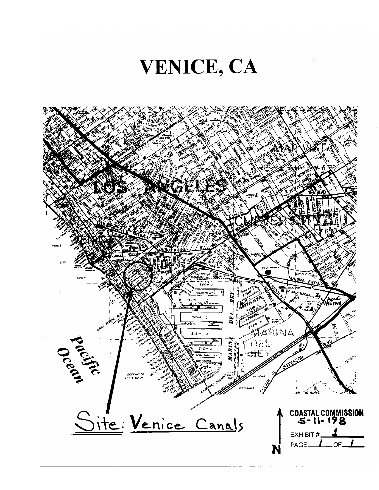

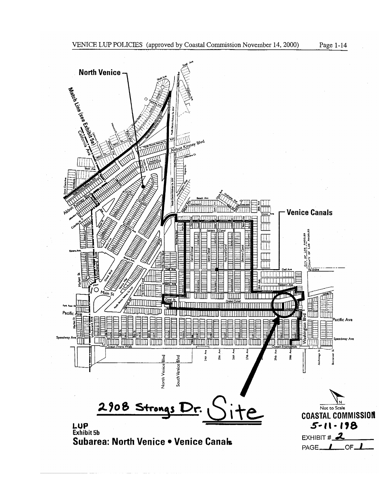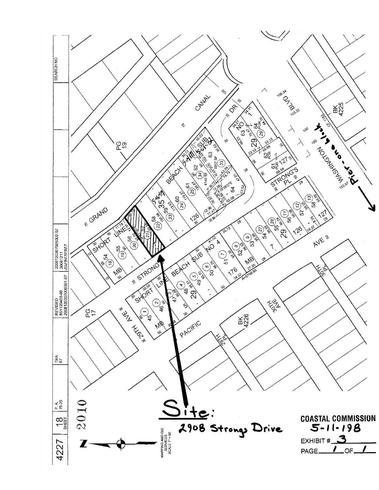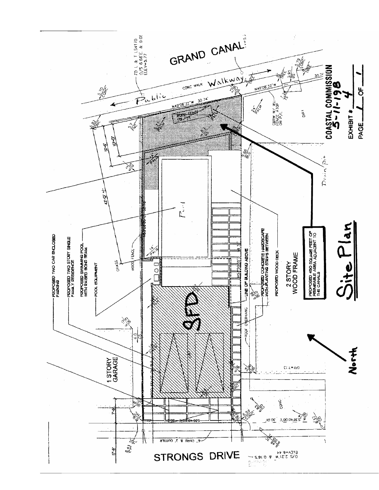![](_page_11_Figure_0.jpeg)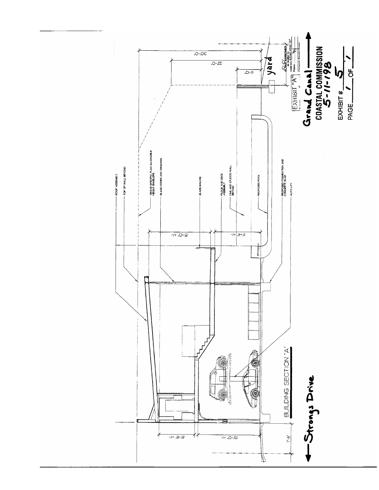![](_page_12_Figure_0.jpeg)